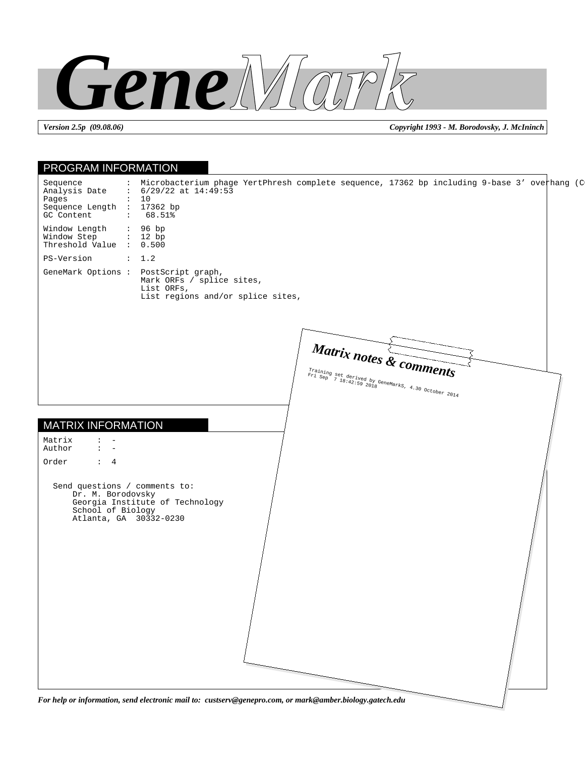

*Version 2.5p (09.08.06) Copyright 1993 - M. Borodovsky, J. McIninch*

| PROGRAM INFORMATION                                                                                                                                                                                                             |  |
|---------------------------------------------------------------------------------------------------------------------------------------------------------------------------------------------------------------------------------|--|
| : Microbacterium phage YertPhresh complete sequence, 17362 bp including 9-base 3' overhang (C<br>Sequence<br>$: 6/29/22$ at $14:49:53$<br>Analysis Date<br>Pages<br>: 10<br>Sequence Length : 17362 bp<br>GC Content<br>: 68.51 |  |
| Window Length<br>: 96 bp<br>Window Step<br>: 12 bp<br>Threshold Value : 0.500                                                                                                                                                   |  |
| PS-Version<br>: 1.2                                                                                                                                                                                                             |  |
| GeneMark Options:<br>PostScript graph,<br>Mark ORFs / splice sites,<br>List ORFs,<br>List regions and/or splice sites,                                                                                                          |  |
| Matrix notes & comments<br>Training set derived by GeneMarks, 4.30 October 2014                                                                                                                                                 |  |
|                                                                                                                                                                                                                                 |  |
| <b>MATRIX INFORMATION</b>                                                                                                                                                                                                       |  |
| Matrix<br>Author<br>$\mathbf{L} = -$                                                                                                                                                                                            |  |
| Order<br>$\colon$ 4                                                                                                                                                                                                             |  |
| Send questions / comments to:<br>Dr. M. Borodovsky<br>Georgia Institute of Technology<br>School of Biology<br>Atlanta, GA 30332-0230                                                                                            |  |
|                                                                                                                                                                                                                                 |  |
| For help or information, send electronic mail to: custserv@genepro.com, or mark@amber.biology.gatech.edu                                                                                                                        |  |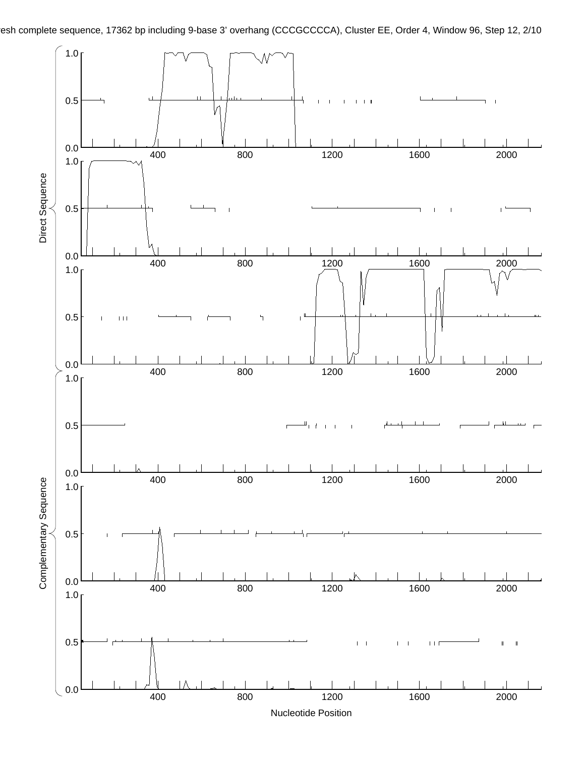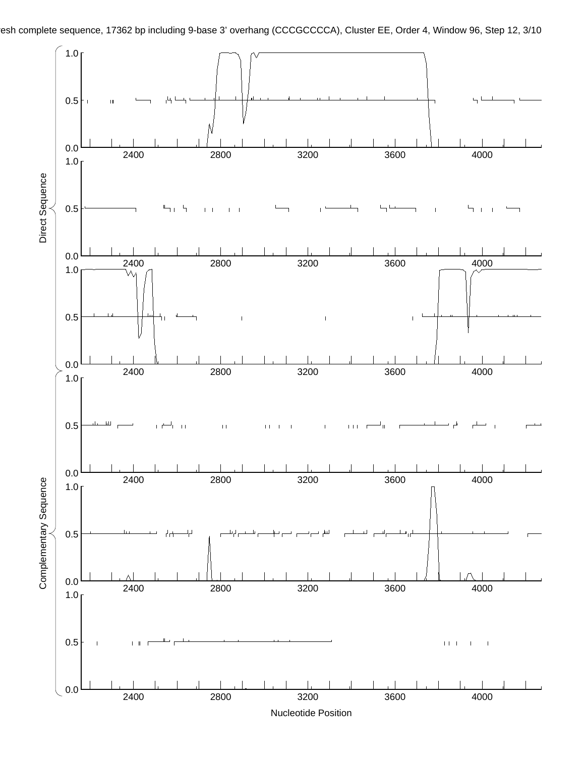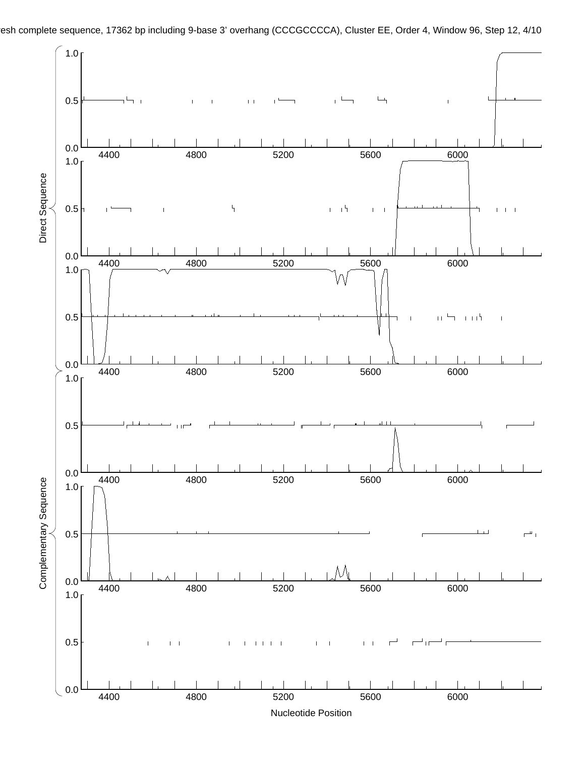

esh complete sequence, 17362 bp including 9-base 3' overhang (CCCGCCCCA), Cluster EE, Order 4, Window 96, Step 12, 4/10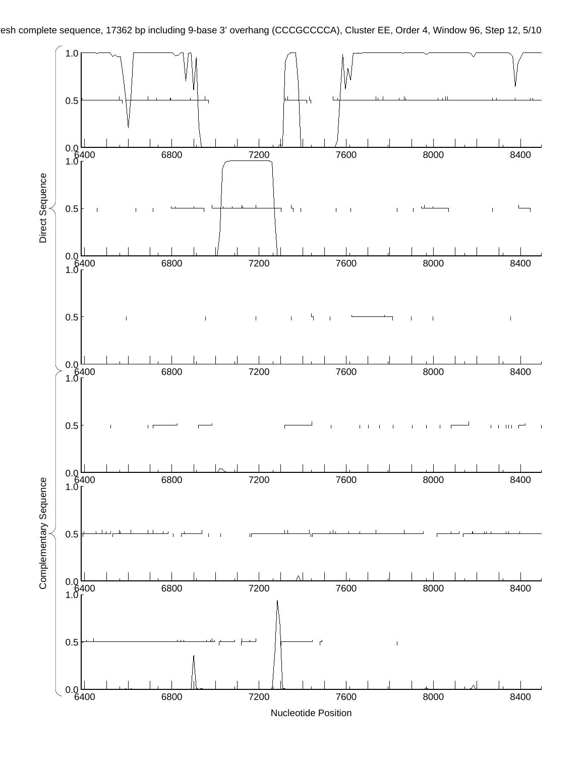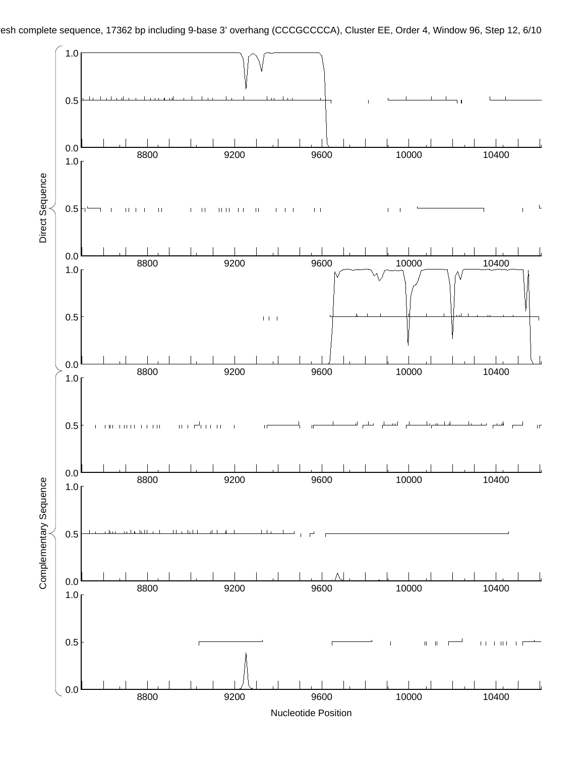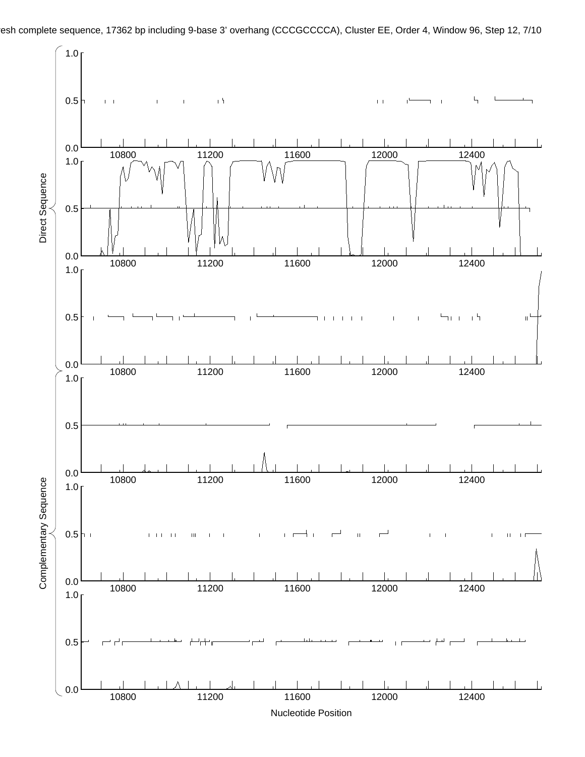

esh complete sequence, 17362 bp including 9-base 3' overhang (CCCGCCCCA), Cluster EE, Order 4, Window 96, Step 12, 7/10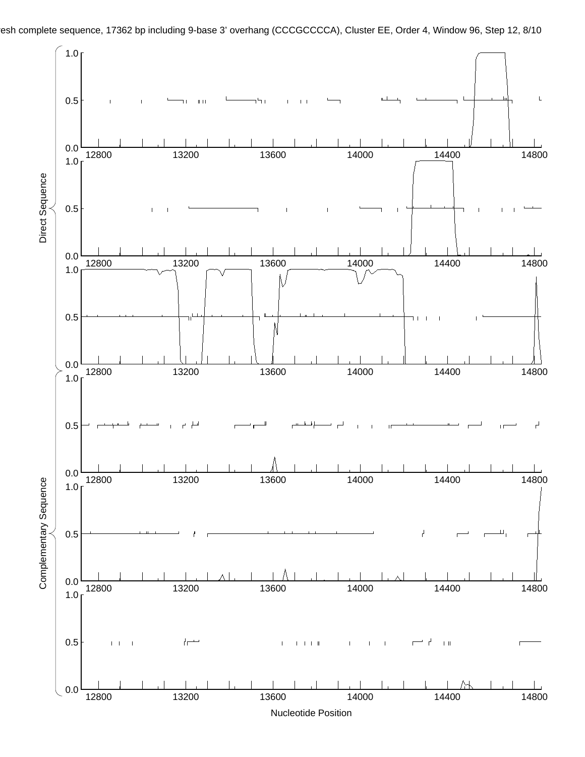

esh complete sequence, 17362 bp including 9-base 3' overhang (CCCGCCCCA), Cluster EE, Order 4, Window 96, Step 12, 8/10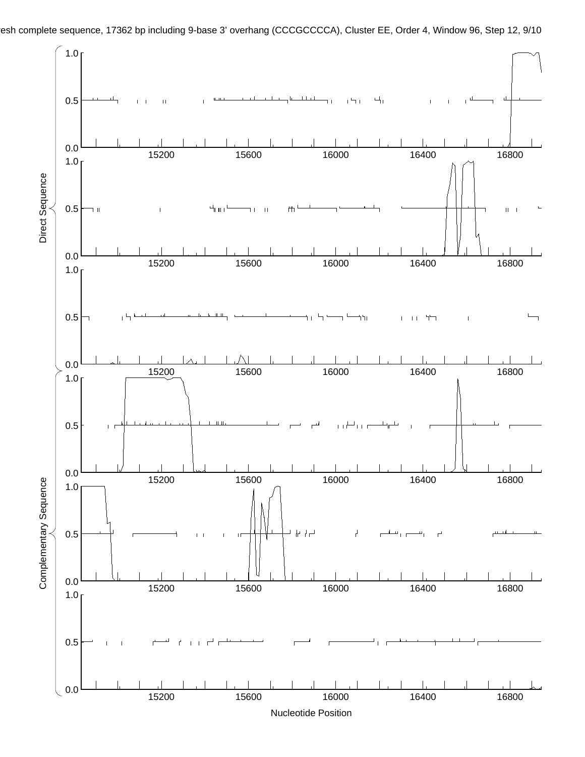

esh complete sequence, 17362 bp including 9-base 3' overhang (CCCGCCCCA), Cluster EE, Order 4, Window 96, Step 12, 9/10